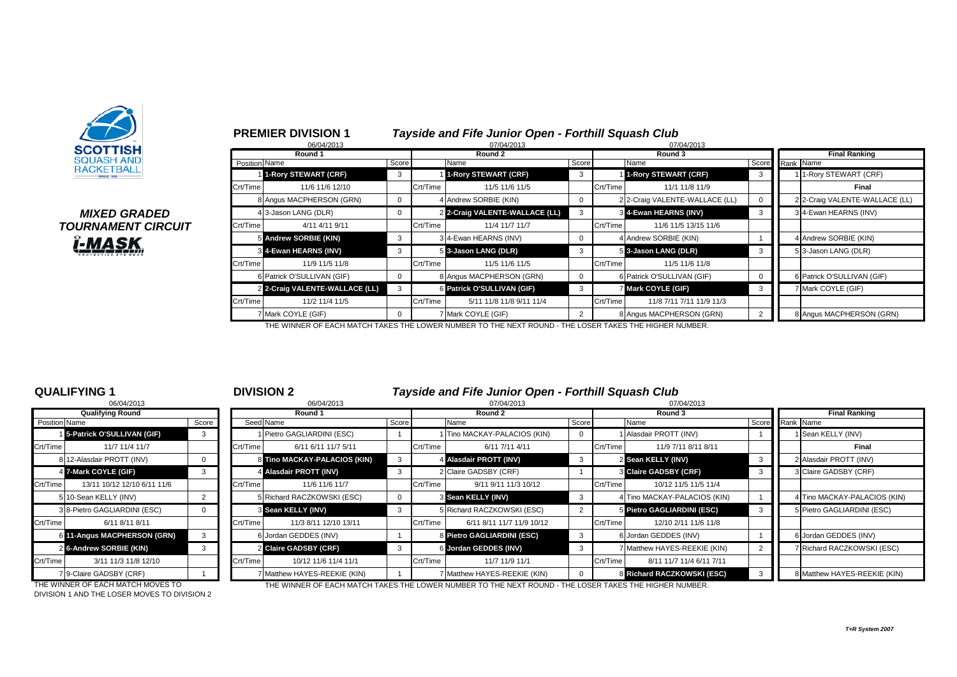

*MIXED GRADED* **TOURNAMENT CIRCUIT î-MASK** 

### **PREMIER DIVISION 1** *Tayside and Fife Junior Open - Forthill Squash Club*

|               | 06/04/2013                     |       |          | 07/04/2013                     |                |          | 07/04/2013                     |                      |  |                                |
|---------------|--------------------------------|-------|----------|--------------------------------|----------------|----------|--------------------------------|----------------------|--|--------------------------------|
|               | Round 1                        |       |          | Round 2                        |                |          | Round 3                        | <b>Final Ranking</b> |  |                                |
| Position Name |                                | Score |          | Name                           | Score          |          | Name                           | Score Rank Name      |  |                                |
|               | 1-Rory STEWART (CRF)           | 3     |          | 1-Rory STEWART (CRF)           | 3              |          | 1-Rory STEWART (CRF)           | 3                    |  | 11-Rory STEWART (CRF)          |
| Crt/Time      | 11/6 11/6 12/10                |       | Crt/Time | 11/5 11/6 11/5                 |                | Crt/Time | 11/1 11/8 11/9                 |                      |  | Final                          |
|               | 8 Angus MACPHERSON (GRN)       |       |          | 4 Andrew SORBIE (KIN)          | $\Omega$       |          | 2 2-Craig VALENTE-WALLACE (LL) | 0                    |  | 2 2-Craig VALENTE-WALLACE (LL) |
|               | 4 3-Jason LANG (DLR)           |       |          | 2 2-Craig VALENTE-WALLACE (LL) | 3              |          | 3 4-Ewan HEARNS (INV)          | 3                    |  | 3 4-Ewan HEARNS (INV)          |
| Crt/Time      | 4/11 4/11 9/11                 |       | Crt/Time | 11/4 11/7 11/7                 |                | Crt/Time | 11/6 11/5 13/15 11/6           |                      |  |                                |
|               | 5 Andrew SORBIE (KIN)          | 3     |          | 3 4-Ewan HEARNS (INV)          | 0              |          | 4 Andrew SORBIE (KIN)          |                      |  | 4 Andrew SORBIE (KIN)          |
|               | 3 4-Ewan HEARNS (INV)          | 3     |          | 5 3-Jason LANG (DLR)           | 3              |          | 5 3-Jason LANG (DLR)           | 3                    |  | 5 3-Jason LANG (DLR)           |
| Crt/Time      | 11/9 11/5 11/8                 |       | Crt/Time | 11/5 11/6 11/5                 |                | Crt/Time | 11/5 11/6 11/8                 |                      |  |                                |
|               | 6 Patrick O'SULLIVAN (GIF)     |       |          | 8 Angus MACPHERSON (GRN)       | 0              |          | 6 Patrick O'SULLIVAN (GIF)     | 0                    |  | 6 Patrick O'SULLIVAN (GIF)     |
|               | 2 2-Craig VALENTE-WALLACE (LL) | 3     |          | 6 Patrick O'SULLIVAN (GIF)     | 3              |          | <b>7 Mark COYLE (GIF)</b>      | 3                    |  | 7 Mark COYLE (GIF)             |
| Crt/Time      | 11/2 11/4 11/5                 |       | Crt/Time | 5/11 11/8 11/8 9/11 11/4       |                | Crt/Time | 11/8 7/11 7/11 11/9 11/3       |                      |  |                                |
|               | 7 Mark COYLE (GIF)             |       |          | 7 Mark COYLE (GIF)             | $\overline{2}$ |          | 8 Angus MACPHERSON (GRN)       | 2                    |  | 8 Angus MACPHERSON (GRN)       |

THE WINNER OF EACH MATCH TAKES THE LOWER NUMBER TO THE NEXT ROUND - THE LOSER TAKES THE HIGHER NUMBER.

|                | 06/04/2013                   |       |
|----------------|------------------------------|-------|
|                | <b>Qualifying Round</b>      |       |
| Position Name  |                              | Score |
|                | 1 5-Patrick O'SULLIVAN (GIF) | 3     |
| Crt/Time       | 11/7 11/4 11/7               |       |
|                | 812-Alasdair PROTT (INV)     | 0     |
| 4              | 7-Mark COYLE (GIF)           | 3     |
| Crt/Time       | 13/11 10/12 12/10 6/11 11/6  |       |
| 5              | 10-Sean KELLY (INV)          | 2     |
|                | 3 8-Pietro GAGLIARDINI (ESC) | O     |
| Crt/Time       | 6/11 8/11 8/11               |       |
| 6              | 11-Angus MACPHERSON (GRN)    | 3     |
| $\overline{2}$ | 6-Andrew SORBIE (KIN)        | 3     |
| Crt/Time       | 3/11 11/3 11/8 12/10         |       |
|                | 7 9-Claire GADSBY (CRF)      |       |

### **QUALIFYING 1** <sup>1</sup> **DIVISION 2** *Tayside and Fife Junior Open - Forthill Squash Club*

|               | 06/04/2013                   |       |          | 06/04/2013                   |             |          | 07/04/2013                   |       |          | 07/04/2013                   |                 |  |                              |
|---------------|------------------------------|-------|----------|------------------------------|-------------|----------|------------------------------|-------|----------|------------------------------|-----------------|--|------------------------------|
|               | <b>Qualifying Round</b>      |       | Round 1  |                              |             |          | Round 2                      |       |          | Round 3                      |                 |  | <b>Final Ranking</b>         |
| Position Name |                              | Score |          | Seed Name                    | Score       |          | Name                         | Score |          | Name                         | Score Rank Name |  |                              |
|               | 15-Patrick O'SULLIVAN (GIF)  | 3     |          | 1 Pietro GAGLIARDINI (ESC)   |             |          | 1 Tino MACKAY-PALACIOS (KIN) |       |          | 1 Alasdair PROTT (INV)       |                 |  | 1 Sean KELLY (INV)           |
| Crt/Time      | 11/7 11/4 11/7               |       | Crt/Time | 6/11 6/11 11/7 5/11          |             | Crt/Time | 6/11 7/11 4/11               |       | Crt/Time | 11/9 7/11 8/11 8/11          |                 |  | Final                        |
|               | 8 12-Alasdair PROTT (INV)    |       |          | 8 Tino MACKAY-PALACIOS (KIN) | 3           |          | 4 Alasdair PROTT (INV)       |       |          | 2 Sean KELLY (INV)           |                 |  | 2 Alasdair PROTT (INV)       |
|               | 4 7-Mark COYLE (GIF)         |       |          | 4 Alasdair PROTT (INV)       | 3           |          | 2 Claire GADSBY (CRF)        |       |          | 3 Claire GADSBY (CRF)        |                 |  | 3 Claire GADSBY (CRF)        |
| Crt/Time      | 13/11 10/12 12/10 6/11 11/6  |       | Crt/Time | 11/6 11/6 11/7               |             | Crt/Time | 9/11 9/11 11/3 10/12         |       | Crt/Time | 10/12 11/5 11/5 11/4         |                 |  |                              |
|               | 5 10-Sean KELLY (INV)        |       |          | 5 Richard RACZKOWSKI (ESC)   | $\mathbf 0$ |          | 3 Sean KELLY (INV)           |       |          | 4 Tino MACKAY-PALACIOS (KIN) |                 |  | 4 Tino MACKAY-PALACIOS (KIN) |
|               | 3 8-Pietro GAGLIARDINI (ESC) |       |          | 3 Sean KELLY (INV)           | -3          |          | 5 Richard RACZKOWSKI (ESC)   |       |          | 5 Pietro GAGLIARDINI (ESC)   |                 |  | 5 Pietro GAGLIARDINI (ESC)   |
| Crt/Time      | 6/11 8/11 8/11               |       | Crt/Time | 11/3 8/11 12/10 13/11        |             | Crt/Time | 6/11 8/11 11/7 11/9 10/12    |       | Crt/Time | 12/10 2/11 11/6 11/8         |                 |  |                              |
|               | 6 11-Angus MACPHERSON (GRN)  | 3     |          | 6 Jordan GEDDES (INV)        |             |          | 8 Pietro GAGLIARDINI (ESC)   |       |          | 6 Jordan GEDDES (INV)        |                 |  | 6 Jordan GEDDES (INV)        |
|               | 2 6-Andrew SORBIE (KIN)      |       |          | 2 Claire GADSBY (CRF)        |             |          | 6 Jordan GEDDES (INV)        |       |          | 7 Matthew HAYES-REEKIE (KIN) |                 |  | 7 Richard RACZKOWSKI (ESC)   |
| Crt/Time      | 3/11 11/3 11/8 12/10         |       | Crt/Time | 10/12 11/6 11/4 11/1         |             | Crt/Time | 11/7 11/9 11/1               |       | Crt/Time | 8/11 11/7 11/4 6/11 7/11     |                 |  |                              |
|               | 7 9-Claire GADSBY (CRF)      |       |          | 7 Matthew HAYES-REEKIE (KIN) |             |          | 7 Matthew HAYES-REEKIE (KIN) |       |          | 8 Richard RACZKOWSKI (ESC)   |                 |  | 8 Matthew HAYES-REEKIE (KIN) |

DIVISION 1 AND THE LOSER MOVES TO DIVISION 2

THE WINNER OF EACH MATCH MOVES TO THE WINNER OF EACH MATCH TAKES THE LOWER NUMBER TO THE NEXT ROUND - THE LOSER TAKES THE HIGHER NUMBER.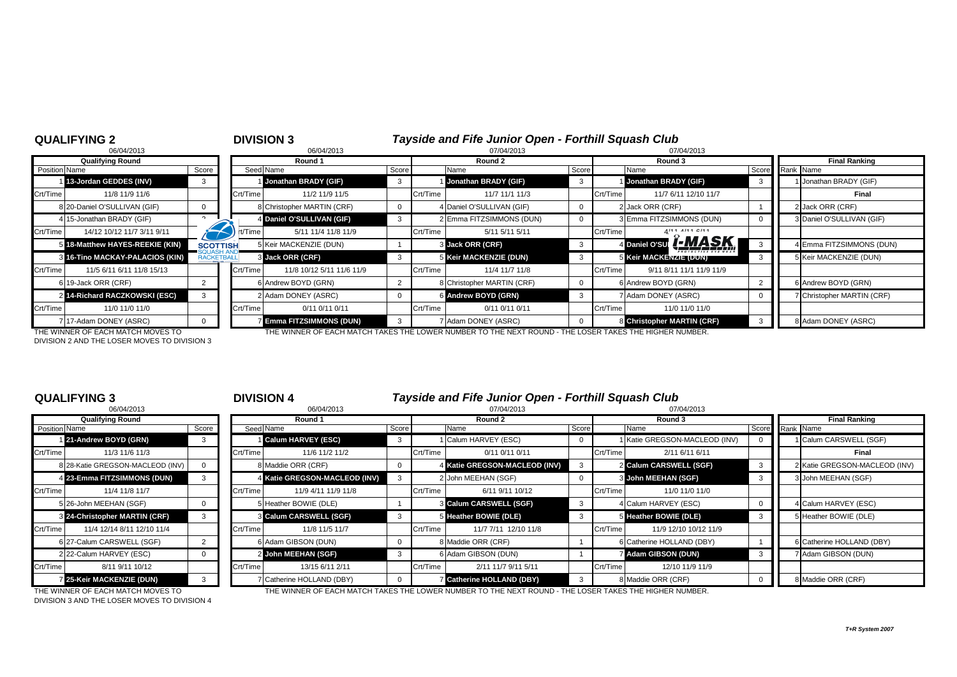| <b>QUALIFYING 2</b><br>06/04/2013 |                                   |                   | <b>DIVISION 3</b><br>06/04/2013 |                               |       |          | Tayside and Fife Junior Open - Forthill Squash Club<br>07/04/2013                                      |       |          |                                  |          |                           |  |
|-----------------------------------|-----------------------------------|-------------------|---------------------------------|-------------------------------|-------|----------|--------------------------------------------------------------------------------------------------------|-------|----------|----------------------------------|----------|---------------------------|--|
|                                   | <b>Qualifying Round</b>           |                   |                                 | Round 1                       |       |          | Round 2                                                                                                |       |          | 07/04/2013<br>Round 3            |          | <b>Final Ranking</b>      |  |
| <b>Position Name</b>              |                                   | Score             |                                 | Seed Name                     | Score |          | Name                                                                                                   | Score |          | Name                             | Score    | Rank Name                 |  |
|                                   | 13-Jordan GEDDES (INV)            | 3                 |                                 | Jonathan BRADY (GIF)          | 3     |          | Jonathan BRADY (GIF)                                                                                   | 3     |          | Jonathan BRADY (GIF)             | -3       | Jonathan BRADY (GIF)      |  |
| Crt/Time                          | 11/8 11/9 11/6                    |                   | Crt/Time                        | 11/2 11/9 11/5                |       | Crt/Time | 11/7 11/1 11/3                                                                                         |       | Crt/Time | 11/7 6/11 12/10 11/7             |          | Final                     |  |
|                                   | 8 20-Daniel O'SULLIVAN (GIF)      | $\Omega$          |                                 | Christopher MARTIN (CRF)      |       |          | 4 Daniel O'SULLIVAN (GIF)                                                                              |       |          | 2 Jack ORR (CRF)                 |          | 2 Jack ORR (CRF)          |  |
|                                   | 4 15-Jonathan BRADY (GIF)         |                   |                                 | 4 Daniel O'SULLIVAN (GIF)     | 3     |          | 2 Emma FITZSIMMONS (DUN)                                                                               |       |          | 3 Emma FITZSIMMONS (DUN)         | $\Omega$ | 3 Daniel O'SULLIVAN (GIF) |  |
| Crt/Time                          | 14/12 10/12 11/7 3/11 9/11        |                   | rt/Time                         | 5/11 11/4 11/8 11/9           |       | Crt/Time | 5/11 5/11 5/11                                                                                         |       | Crt/Time | ALA ALA ALAA                     |          |                           |  |
|                                   | 5 18-Matthew HAYES-REEKIE (KIN)   | <b>SCOTTISH</b>   |                                 | 5 Keir MACKENZIE (DUN)        |       |          | 3 Jack ORR (CRF)                                                                                       | 3     |          | <u>I Î-MASK</u><br>4 Daniel O'SU | 3        | 4 Emma FITZSIMMONS (DUN)  |  |
|                                   | 8 16-Tino MACKAY-PALACIOS (KIN)   | <b>RACKETBALL</b> |                                 | 3 Jack ORR (CRF)              | 3     |          | <b>5 Keir MACKENZIE (DUN)</b>                                                                          | 3     |          | 5 Keir MACKENZIE (DUN)           | 3        | 5 Keir MACKENZIE (DUN)    |  |
| Crt/Time                          | 11/5 6/11 6/11 11/8 15/13         |                   | Crt/Time                        | 11/8 10/12 5/11 11/6 11/9     |       | Crt/Time | 11/4 11/7 11/8                                                                                         |       | Crt/Time | 9/11 8/11 11/1 11/9 11/9         |          |                           |  |
|                                   | 6 19-Jack ORR (CRF)               |                   |                                 | 6 Andrew BOYD (GRN)           |       |          | 8 Christopher MARTIN (CRF)                                                                             |       |          | 6 Andrew BOYD (GRN)              |          | 6 Andrew BOYD (GRN)       |  |
|                                   | 2 14-Richard RACZKOWSKI (ESC)     | 3                 |                                 | 2 Adam DONEY (ASRC)           |       |          | 6 Andrew BOYD (GRN)                                                                                    |       |          | <b>Adam DONEY (ASRC)</b>         |          | Christopher MARTIN (CRF)  |  |
| Crt/Time                          | 11/0 11/0 11/0                    |                   | Crt/Time                        | 0/11 0/11 0/11                |       | Crt/Time | 0/11 0/11 0/11                                                                                         |       | Crt/Time | 11/0 11/0 11/0                   |          |                           |  |
|                                   | 717-Adam DONEY (ASRC)             |                   |                                 | <b>Emma FITZSIMMONS (DUN)</b> | 3     |          | 7 Adam DONEY (ASRC)                                                                                    |       |          | 8 Christopher MARTIN (CRF)       | 3        | 8 Adam DONEY (ASRC)       |  |
|                                   | THE WINNER OF EACH MATCH MOVES TO |                   |                                 |                               |       |          | THE WINNER OF EACH MATCH TAKES THE LOWER NUMBER TO THE NEXT ROUND - THE LOSER TAKES THE HIGHER NUMBER. |       |          |                                  |          |                           |  |

DIVISION 2 AND THE LOSER MOVES TO DIVISION 3

|                      | 06/04/2013                       |          |
|----------------------|----------------------------------|----------|
|                      | <b>Qualifying Round</b>          |          |
| <b>Position Name</b> |                                  | Score    |
|                      | 1 21-Andrew BOYD (GRN)           | 3        |
| Crt/Time             | 11/3 11/6 11/3                   |          |
|                      | 8 28-Katie GREGSON-MACLEOD (INV) | 0        |
|                      | 4 23-Emma FITZSIMMONS (DUN)      | 3        |
| Crt/Time             | 11/4 11/8 11/7                   |          |
|                      | 5 26-John MEEHAN (SGF)           | 0        |
|                      | 3 24-Christopher MARTIN (CRF)    | 3        |
| Crt/Time             | 11/4 12/14 8/11 12/10 11/4       |          |
|                      | 6 27-Calum CARSWELL (SGF)        | 2        |
|                      | 2 22-Calum HARVEY (ESC)          | $\Omega$ |
| Crt/Time             | 8/11 9/11 10/12                  |          |
|                      | 7 25-Keir MACKENZIE (DUN)        | 3        |

### **QUALIFYING 3** <sup>3</sup> **DIVISION 4** *Tayside and Fife Junior Open - Forthill Squash Club*

|               | 06/04/2013                       |       |          | 06/04/2013                    |             | 07/04/2013 |                                |       |          | 07/04/2013                  |  |                      |                               |
|---------------|----------------------------------|-------|----------|-------------------------------|-------------|------------|--------------------------------|-------|----------|-----------------------------|--|----------------------|-------------------------------|
|               | <b>Qualifying Round</b>          |       | Round 1  |                               |             |            | Round 2                        |       | Round 3  |                             |  | <b>Final Ranking</b> |                               |
| Position Name |                                  | Score |          | Seed Name                     | Score       |            | Name                           | Score |          | Name                        |  | Score Rank Name      |                               |
|               | 21-Andrew BOYD (GRN)             |       |          | <b>Calum HARVEY (ESC)</b>     | 3           |            | Calum HARVEY (ESC)             |       |          | Katie GREGSON-MACLEOD (INV) |  |                      | I Calum CARSWELL (SGF)        |
| Crt/Time      | 11/3 11/6 11/3                   |       | Crt/Time | 11/6 11/2 11/2                |             | Crt/Time   | 0/11 0/11 0/11                 |       | Crt/Time | 2/11 6/11 6/11              |  |                      | Final                         |
|               | 8 28-Katie GREGSON-MACLEOD (INV) |       |          | 8 Maddie ORR (CRF)            | $\mathbf 0$ |            | 4 Katie GREGSON-MACLEOD (INV)  |       |          | 2 Calum CARSWELL (SGF)      |  |                      | 2 Katie GREGSON-MACLEOD (INV) |
|               | 4 23-Emma FITZSIMMONS (DUN)      |       |          | 4 Katie GREGSON-MACLEOD (INV) |             |            | 2 John MEEHAN (SGF)            |       |          | 3 John MEEHAN (SGF)         |  |                      | 3 John MEEHAN (SGF)           |
| Crt/Time      | 11/4 11/8 11/7                   |       | Crt/Time | 11/9 4/11 11/9 11/8           |             | Crt/Time   | 6/11 9/11 10/12                |       | Crt/Time | 11/0 11/0 11/0              |  |                      |                               |
|               | 5 26-John MEEHAN (SGF)           |       |          | 5 Heather BOWIE (DLE)         |             |            | <b>8 Calum CARSWELL (SGF)</b>  |       |          | 1 Calum HARVEY (ESC)        |  |                      | I Calum HARVEY (ESC)          |
|               | 3 24-Christopher MARTIN (CRF)    |       |          | <b>3 Calum CARSWELL (SGF)</b> | 3           |            | 5 Heather BOWIE (DLE)          |       |          | 5 Heather BOWIE (DLE)       |  |                      | 5 Heather BOWIE (DLE)         |
| Crt/Time      | 11/4 12/14 8/11 12/10 11/4       |       | Crt/Time | 11/8 11/5 11/7                |             | Crt/Time   | 11/7 7/11 12/10 11/8           |       | Crt/Time | 11/9 12/10 10/12 11/9       |  |                      |                               |
|               | 6 27-Calum CARSWELL (SGF)        |       |          | 6 Adam GIBSON (DUN)           | $\mathbf 0$ |            | 8 Maddie ORR (CRF)             |       |          | 6 Catherine HOLLAND (DBY)   |  |                      | 6 Catherine HOLLAND (DBY)     |
|               | 2 22-Calum HARVEY (ESC)          |       |          | 2 John MEEHAN (SGF)           |             |            | 6 Adam GIBSON (DUN)            |       |          | <b>Z Adam GIBSON (DUN)</b>  |  |                      | 7 Adam GIBSON (DUN)           |
| Crt/Time      | 8/11 9/11 10/12                  |       | Crt/Time | 13/15 6/11 2/11               |             | Crt/Time   | 2/11 11/7 9/11 5/11            |       | Crt/Time | 12/10 11/9 11/9             |  |                      |                               |
|               | <b>25-Keir MACKENZIE (DUN)</b>   |       |          | 7 Catherine HOLLAND (DBY)     |             |            | <b>Catherine HOLLAND (DBY)</b> |       |          | 8 Maddie ORR (CRF)          |  |                      | 8 Maddie ORR (CRF)            |

DIVISION 3 AND THE LOSER MOVES TO DIVISION 4

THE WINNER OF EACH MATCH MOVES TO THE WINNER OF EACH MATCH TAKES THE LOWER NUMBER TO THE NEXT ROUND - THE LOSER TAKES THE HIGHER NUMBER.